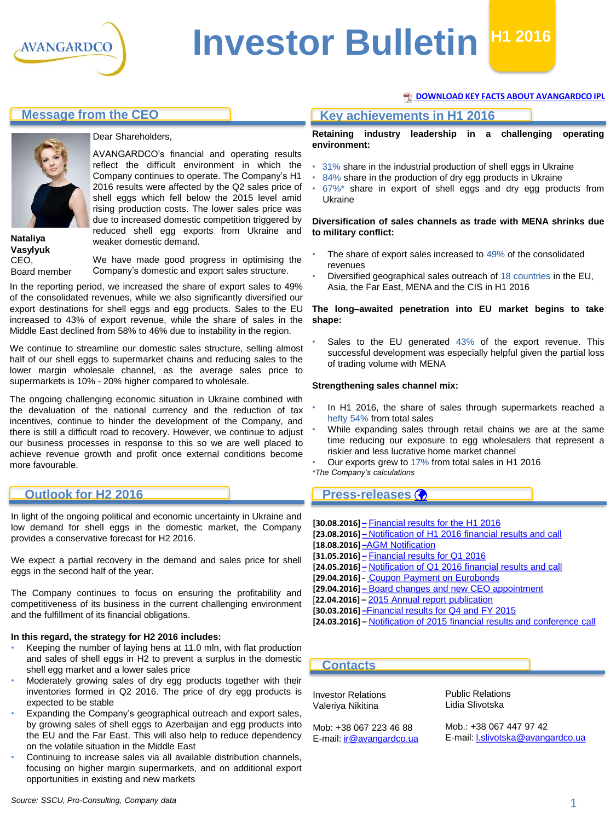

# **Investor Bulletin H1 2016**

#### **[DOWNLOAD KEY FACTS ABOUT AVANGARDCO IPL](http://www.avangard.co.ua/eng/for-investors/financial-overview/key_files/)**



#### Dear Shareholders,

AVANGARDCO's financial and operating results reflect the difficult environment in which the Company continues to operate. The Company's H1 2016 results were affected by the Q2 sales price of shell eggs which fell below the 2015 level amid rising production costs. The lower sales price was due to increased domestic competition triggered by reduced shell egg exports from Ukraine and weaker domestic demand.

**Nataliya Vasylyuk** CEO, Board member

We have made good progress in optimising the Company's domestic and export sales structure.

In the reporting period, we increased the share of export sales to 49% of the consolidated revenues, while we also significantly diversified our export destinations for shell eggs and egg products. Sales to the EU increased to 43% of export revenue, while the share of sales in the Middle East declined from 58% to 46% due to instability in the region.

We continue to streamline our domestic sales structure, selling almost half of our shell eggs to supermarket chains and reducing sales to the lower margin wholesale channel, as the average sales price to supermarkets is 10% - 20% higher compared to wholesale.

The ongoing challenging economic situation in Ukraine combined with the devaluation of the national currency and the reduction of tax incentives, continue to hinder the development of the Company, and there is still a difficult road to recovery. However, we continue to adjust our business processes in response to this so we are well placed to achieve revenue growth and profit once external conditions become more favourable.

#### **Outlook for H2 2016**

In light of the ongoing political and economic uncertainty in Ukraine and low demand for shell eggs in the domestic market, the Company provides a conservative forecast for H2 2016.

We expect a partial recovery in the demand and sales price for shell eggs in the second half of the year.

The Company continues to focus on ensuring the profitability and competitiveness of its business in the current challenging environment and the fulfillment of its financial obligations.

#### **In this regard, the strategy for H2 2016 includes:**

- Keeping the number of laying hens at 11.0 mln, with flat production and sales of shell eggs in H2 to prevent a surplus in the domestic shell egg market and a lower sales price
- Moderately growing sales of dry egg products together with their inventories formed in Q2 2016. The price of dry egg products is expected to be stable
- Expanding the Company's geographical outreach and export sales, by growing sales of shell eggs to Azerbaijan and egg products into the EU and the Far East. This will also help to reduce dependency on the volatile situation in the Middle East
- Continuing to increase sales via all available distribution channels, focusing on higher margin supermarkets, and on additional export opportunities in existing and new markets

### **Message from the CEO Key achievements in H1 2016**

**Retaining industry leadership in a challenging operating environment:**

- 31% share in the industrial production of shell eggs in Ukraine
- 84% share in the production of dry egg products in Ukraine
- $67\%$ \* share in export of shell eggs and dry egg products from Ukraine

#### **Diversification of sales channels as trade with MENA shrinks due to military conflict:**

- The share of export sales increased to 49% of the consolidated revenues
- Diversified geographical sales outreach of 18 countries in the EU, Asia, the Far East, MENA and the CIS in H1 2016

#### **The long–awaited penetration into EU market begins to take shape:**

Sales to the EU generated 43% of the export revenue. This successful development was especially helpful given the partial loss of trading volume with MENA

#### **Strengthening sales channel mix:**

- In H1 2016, the share of sales through supermarkets reached a hefty 54% from total sales
- While expanding sales through retail chains we are at the same time reducing our exposure to egg wholesalers that represent a riskier and less lucrative home market channel

• Our exports grew to 17% from total sales in H1 2016

*\*The Company's calculations*

#### **Press-releases**

| [30.08.2016] – Financial results for the H1 2016                          |
|---------------------------------------------------------------------------|
| [23.08.2016] – Notification of H1 2016 financial results and call         |
| [18.08.2016]-AGM Notification                                             |
| [31.05.2016] – Financial results for Q1 2016                              |
| [24.05.2016] – Notification of Q1 2016 financial results and call         |
| [29.04.2016] Coupon Payment on Eurobonds                                  |
| [29.04.2016] – Board changes and new CEO appointment                      |
| [22.04.2016] - 2015 Annual report publication                             |
| [30.03.2016]-Financial results for Q4 and FY 2015                         |
| [24.03.2016] – Notification of 2015 financial results and conference call |

#### **Contacts**

Investor Relations Valeriya Nikitina

Mob: +38 067 223 46 88 E-mail: [ir@avangardco.ua](mailto:ir@avangardco.ua) Public Relations Lidia Slivotska

Mob.: +38 067 447 97 42 E-mail: [l.slivotska@avangardco.ua](mailto:l.slivotska@avangardco.ua)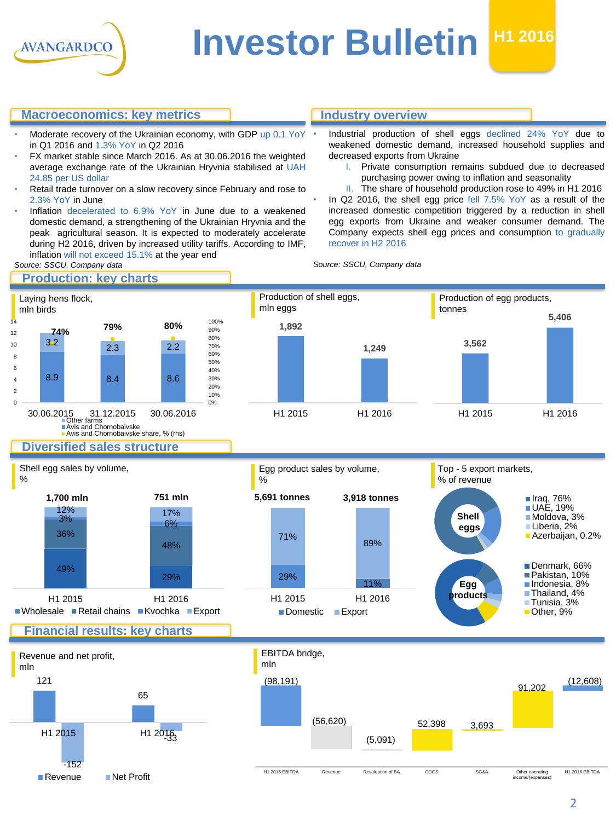

# **Investor Bulletin <b>H1 2016**

#### **Macroeconomics: key metrics**

- Moderate recovery of the Ukrainian economy, with GDP up 0.1 YoY in Q1 2016 and 1.3% YoY in Q2 2016
- FX market stable since March 2016. As at 30.06.2016 the weighted average exchange rate of the Ukrainian Hryvnia stabilised at UAH 24.85 per US dollar
- Retail trade turnover on a slow recovery since February and rose to 2.3% YoY in June
- Inflation decelerated to 6.9% YoY in June due to a weakened domestic demand, a strengthening of the Ukrainian Hryvnia and the peak agricultural season. It is expected to moderately accelerate during H2 2016, driven by increased utility tariffs. According to IMF, inflation will not exceed 15.1% at the year end

#### **Industry overview**

- Industrial production of shell eggs declined 24% YoY due to weakened domestic demand, increased household supplies and decreased exports from Ukraine
	- I. Private consumption remains subdued due to decreased purchasing power owing to inflation and seasonality
	- II. The share of household production rose to 49% in H1 2016
- In Q2 2016, the shell egg price fell 7.5% YoY as a result of the increased domestic competition triggered by a reduction in shell egg exports from Ukraine and weaker consumer demand. The Company expects shell egg prices and consumption to gradually recover in H2 2016

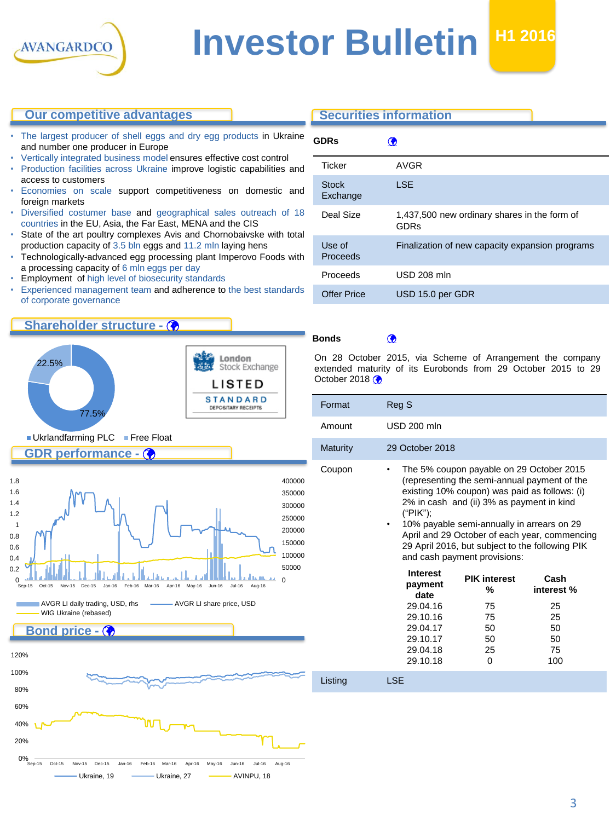

#### **Our competitive advantages**

- The largest producer of shell eggs and dry egg products in Ukraine and number one producer in Europe
- Vertically integrated business model ensures effective cost control
- Production facilities across Ukraine improve logistic capabilities and access to customers
- Economies on scale support competitiveness on domestic and foreign markets
- Diversified costumer base and geographical sales outreach of 18 countries in the EU, Asia, the Far East, MENA and the CIS
- State of the art poultry complexes Avis and Chornobaivske with total production capacity of 3.5 bln eggs and 11.2 mln laying hens
- Technologically-advanced egg processing plant Imperovo Foods with a processing capacity of 6 mln eggs per day
- Employment of high level of biosecurity standards
- Experienced management team and adherence to the best standards of corporate governance

### **Shareholder structure -**

**GDR performance -**

0%<br>Se 20% 40%







Sep-15 Oct-15 Nov-15 Dec-15 Jan-16 Feb-16 Mar-16 Apr-16 May-16 Jun-16 Jul-16 Aug-16 Ukraine, 19 Ukraine, 27 AVINPU, 18

## **Securities information GDRs**

|                          | <u>w</u>                                             |
|--------------------------|------------------------------------------------------|
| Ticker                   | AVGR                                                 |
| <b>Stock</b><br>Exchange | <b>LSE</b>                                           |
| Deal Size                | 1,437,500 new ordinary shares in the form of<br>GDRs |
| Use of<br>Proceeds       | Finalization of new capacity expansion programs      |
| Proceeds                 | <b>USD 208 mln</b>                                   |
| <b>Offer Price</b>       | USD 15.0 per GDR                                     |
|                          |                                                      |

**Bonds**

On 28 October 2015, via Scheme of Arrangement the company extended maturity of its Eurobonds from 29 October 2015 to 29 October 2018 $\left\langle \right\rangle$ 

| Format          | Reg S                                                                                                                                                                                                                                                                                                                                                                                     |                                                  |                                            |  |
|-----------------|-------------------------------------------------------------------------------------------------------------------------------------------------------------------------------------------------------------------------------------------------------------------------------------------------------------------------------------------------------------------------------------------|--------------------------------------------------|--------------------------------------------|--|
| Amount          | <b>USD 200 mln</b>                                                                                                                                                                                                                                                                                                                                                                        |                                                  |                                            |  |
| <b>Maturity</b> | 29 October 2018                                                                                                                                                                                                                                                                                                                                                                           |                                                  |                                            |  |
| Coupon          | The 5% coupon payable on 29 October 2015<br>٠<br>(representing the semi-annual payment of the<br>existing 10% coupon) was paid as follows: (i)<br>2% in cash and (ii) 3% as payment in kind<br>("PIK");<br>10% payable semi-annually in arrears on 29<br>April and 29 October of each year, commencing<br>29 April 2016, but subject to the following PIK<br>and cash payment provisions: |                                                  |                                            |  |
|                 | <b>Interest</b><br>payment<br>date<br>29.04.16<br>29.10.16<br>29.04.17<br>29.10.17                                                                                                                                                                                                                                                                                                        | <b>PIK interest</b><br>℅<br>75<br>75<br>50<br>50 | Cash<br>interest %<br>25<br>25<br>50<br>50 |  |
|                 | 29.04.18<br>29.10.18                                                                                                                                                                                                                                                                                                                                                                      | 25<br>0                                          | 75<br>100                                  |  |

Listing LSE